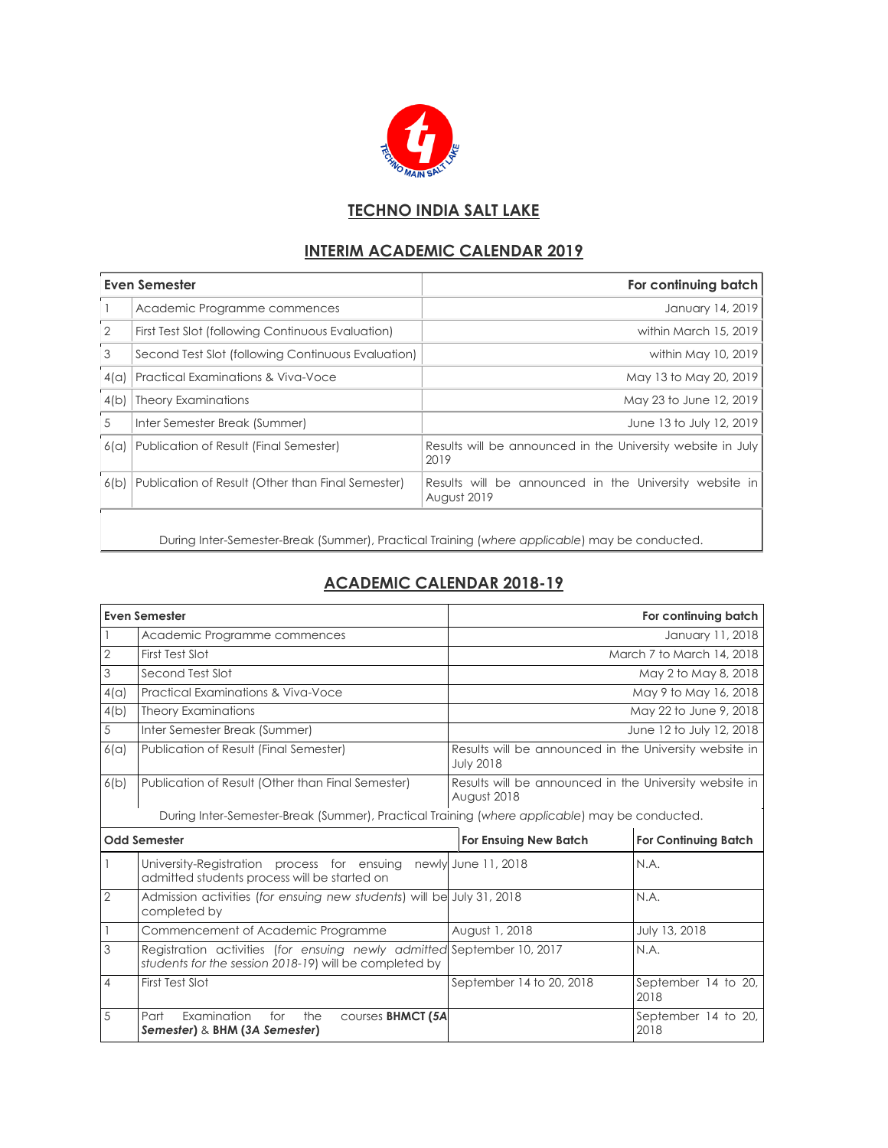

## **TECHNO INDIA SALT LAKE**

## **INTERIM ACADEMIC CALENDAR 2019**

| Even Semester  |                                                    | For continuing batch                                                  |  |
|----------------|----------------------------------------------------|-----------------------------------------------------------------------|--|
|                | Academic Programme commences                       | January 14, 2019                                                      |  |
| $\overline{2}$ | First Test Slot (following Continuous Evaluation)  | within March 15, 2019                                                 |  |
| 3              | Second Test Slot (following Continuous Evaluation) | within May 10, 2019                                                   |  |
| 4(a)           | <b>Practical Examinations &amp; Viva-Voce</b>      | May 13 to May 20, 2019                                                |  |
| 4(b)           | <b>Theory Examinations</b>                         | May 23 to June 12, 2019                                               |  |
| 5              | Inter Semester Break (Summer)                      | June 13 to July 12, 2019                                              |  |
| 6(a)           | Publication of Result (Final Semester)             | Results will be announced in the University website in July<br>2019   |  |
| 6(b)           | Publication of Result (Other than Final Semester)  | Results will be announced in the University website in<br>August 2019 |  |
|                |                                                    |                                                                       |  |

During Inter-Semester-Break (Summer), Practical Training (*where applicable*) may be conducted.

## **ACADEMIC CALENDAR 2018-19**

| <b>Even Semester</b> |                                                                                                                                  | For continuing batch                                                       |                             |  |  |  |
|----------------------|----------------------------------------------------------------------------------------------------------------------------------|----------------------------------------------------------------------------|-----------------------------|--|--|--|
|                      | Academic Programme commences                                                                                                     | January 11, 2018                                                           |                             |  |  |  |
| 2                    | First Test Slot                                                                                                                  |                                                                            | March 7 to March 14, 2018   |  |  |  |
| 3                    | Second Test Slot                                                                                                                 | May 2 to May 8, 2018                                                       |                             |  |  |  |
| 4(a)                 | Practical Examinations & Viva-Voce                                                                                               | May 9 to May 16, 2018                                                      |                             |  |  |  |
| 4(b)                 | <b>Theory Examinations</b>                                                                                                       | May 22 to June 9, 2018                                                     |                             |  |  |  |
| 5                    | Inter Semester Break (Summer)                                                                                                    | June 12 to July 12, 2018                                                   |                             |  |  |  |
| 6(a)                 | Publication of Result (Final Semester)                                                                                           | Results will be announced in the University website in<br><b>July 2018</b> |                             |  |  |  |
| 6(b)                 | Publication of Result (Other than Final Semester)                                                                                | Results will be announced in the University website in<br>August 2018      |                             |  |  |  |
|                      | During Inter-Semester-Break (Summer), Practical Training (where applicable) may be conducted.                                    |                                                                            |                             |  |  |  |
| <b>Odd Semester</b>  |                                                                                                                                  | <b>For Ensuing New Batch</b>                                               | <b>For Continuing Batch</b> |  |  |  |
|                      | University-Registration process for ensuing<br>admitted students process will be started on                                      | newly June 11, 2018                                                        | N.A.                        |  |  |  |
| $\overline{2}$       | Admission activities (for ensuing new students) will be July 31, 2018<br>completed by                                            |                                                                            | N.A.                        |  |  |  |
|                      | Commencement of Academic Programme                                                                                               | August 1, 2018                                                             | July 13, 2018               |  |  |  |
| 3                    | Registration activities (for ensuing newly admitted September 10, 2017<br>students for the session 2018-19) will be completed by |                                                                            | N.A.                        |  |  |  |
| 4                    | First Test Slot                                                                                                                  | September 14 to 20, 2018                                                   |                             |  |  |  |
|                      |                                                                                                                                  |                                                                            | September 14 to 20,<br>2018 |  |  |  |